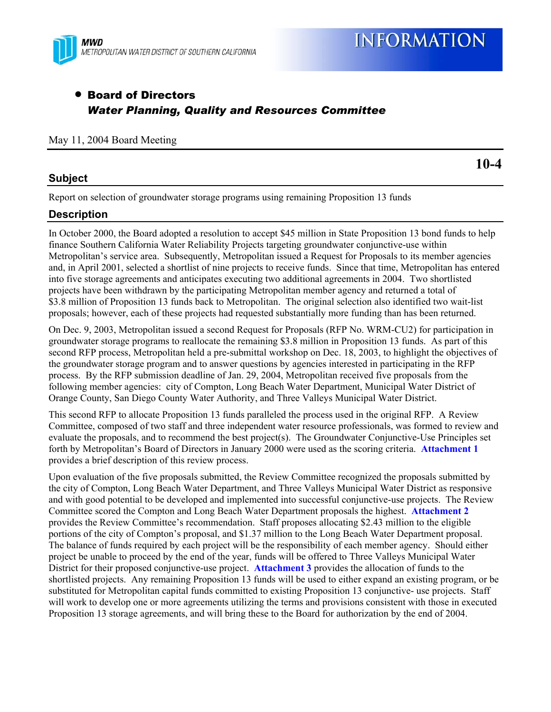

# • Board of Directors *Water Planning, Quality and Resources Committee*

#### May 11, 2004 Board Meeting

# **Subject**

**10-4** 

Report on selection of groundwater storage programs using remaining Proposition 13 funds

# **Description**

In October 2000, the Board adopted a resolution to accept \$45 million in State Proposition 13 bond funds to help finance Southern California Water Reliability Projects targeting groundwater conjunctive-use within Metropolitan's service area. Subsequently, Metropolitan issued a Request for Proposals to its member agencies and, in April 2001, selected a shortlist of nine projects to receive funds. Since that time, Metropolitan has entered into five storage agreements and anticipates executing two additional agreements in 2004. Two shortlisted projects have been withdrawn by the participating Metropolitan member agency and returned a total of \$3.8 million of Proposition 13 funds back to Metropolitan. The original selection also identified two wait-list proposals; however, each of these projects had requested substantially more funding than has been returned.

On Dec. 9, 2003, Metropolitan issued a second Request for Proposals (RFP No. WRM-CU2) for participation in groundwater storage programs to reallocate the remaining \$3.8 million in Proposition 13 funds. As part of this second RFP process, Metropolitan held a pre-submittal workshop on Dec. 18, 2003, to highlight the objectives of the groundwater storage program and to answer questions by agencies interested in participating in the RFP process. By the RFP submission deadline of Jan. 29, 2004, Metropolitan received five proposals from the following member agencies: city of Compton, Long Beach Water Department, Municipal Water District of Orange County, San Diego County Water Authority, and Three Valleys Municipal Water District.

This second RFP to allocate Proposition 13 funds paralleled the process used in the original RFP. A Review Committee, composed of two staff and three independent water resource professionals, was formed to review and evaluate the proposals, and to recommend the best project(s). The Groundwater Conjunctive-Use Principles set forth by Metropolitan's Board of Directors in January 2000 were used as the scoring criteria. **Attachment 1** provides a brief description of this review process.

Upon evaluation of the five proposals submitted, the Review Committee recognized the proposals submitted by the city of Compton, Long Beach Water Department, and Three Valleys Municipal Water District as responsive and with good potential to be developed and implemented into successful conjunctive-use projects. The Review Committee scored the Compton and Long Beach Water Department proposals the highest. **Attachment 2** provides the Review Committee's recommendation. Staff proposes allocating \$2.43 million to the eligible portions of the city of Compton's proposal, and \$1.37 million to the Long Beach Water Department proposal. The balance of funds required by each project will be the responsibility of each member agency. Should either project be unable to proceed by the end of the year, funds will be offered to Three Valleys Municipal Water District for their proposed conjunctive-use project. **Attachment 3** provides the allocation of funds to the shortlisted projects. Any remaining Proposition 13 funds will be used to either expand an existing program, or be substituted for Metropolitan capital funds committed to existing Proposition 13 conjunctive- use projects. Staff will work to develop one or more agreements utilizing the terms and provisions consistent with those in executed Proposition 13 storage agreements, and will bring these to the Board for authorization by the end of 2004.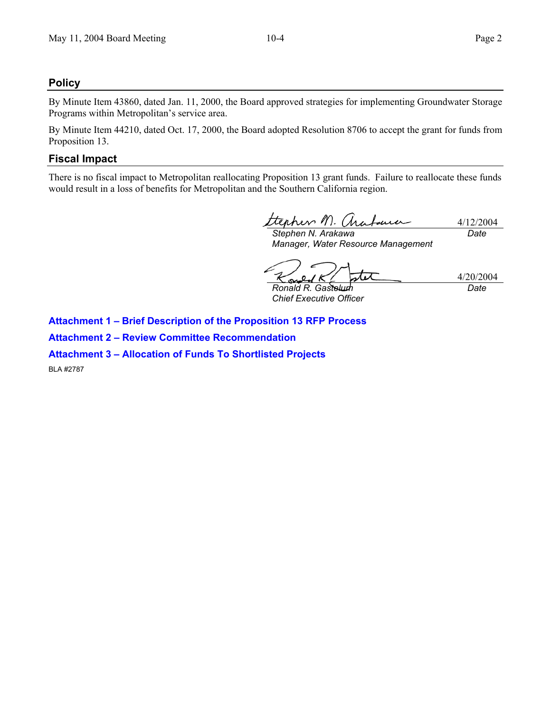# **Policy**

By Minute Item 43860, dated Jan. 11, 2000, the Board approved strategies for implementing Groundwater Storage Programs within Metropolitan's service area.

By Minute Item 44210, dated Oct. 17, 2000, the Board adopted Resolution 8706 to accept the grant for funds from Proposition 13.

# **Fiscal Impact**

There is no fiscal impact to Metropolitan reallocating Proposition 13 grant funds. Failure to reallocate these funds would result in a loss of benefits for Metropolitan and the Southern California region.

ttephen M. Arabauce 4/12/2004 *Stephen N. Arakawa Date* 

*Manager, Water Resource Management* 

4/20/2004  $\sim$ *Ronald R. Gastelum Date* 

*Chief Executive Officer* 

**Attachment 1 – Brief Description of the Proposition 13 RFP Process Attachment 2 – Review Committee Recommendation** 

**Attachment 3 – Allocation of Funds To Shortlisted Projects** 

BLA #2787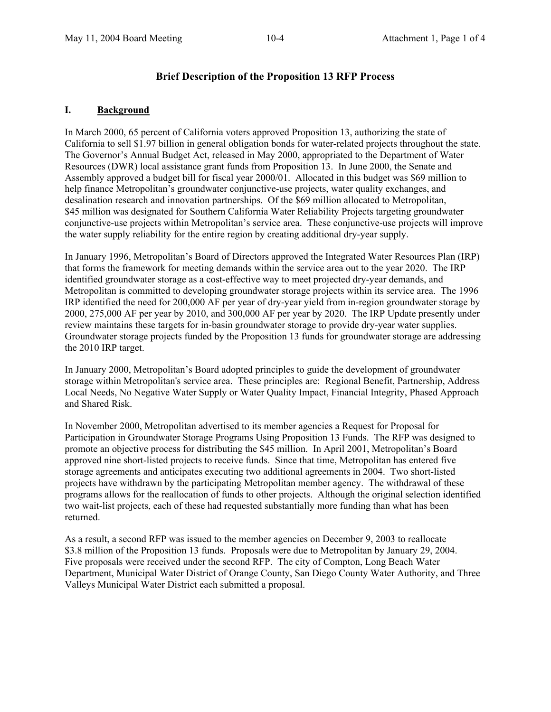### **Brief Description of the Proposition 13 RFP Process**

#### **I. Background**

In March 2000, 65 percent of California voters approved Proposition 13, authorizing the state of California to sell \$1.97 billion in general obligation bonds for water-related projects throughout the state. The Governor's Annual Budget Act, released in May 2000, appropriated to the Department of Water Resources (DWR) local assistance grant funds from Proposition 13. In June 2000, the Senate and Assembly approved a budget bill for fiscal year 2000/01. Allocated in this budget was \$69 million to help finance Metropolitan's groundwater conjunctive-use projects, water quality exchanges, and desalination research and innovation partnerships. Of the \$69 million allocated to Metropolitan, \$45 million was designated for Southern California Water Reliability Projects targeting groundwater conjunctive-use projects within Metropolitan's service area. These conjunctive-use projects will improve the water supply reliability for the entire region by creating additional dry-year supply.

In January 1996, Metropolitan's Board of Directors approved the Integrated Water Resources Plan (IRP) that forms the framework for meeting demands within the service area out to the year 2020. The IRP identified groundwater storage as a cost-effective way to meet projected dry-year demands, and Metropolitan is committed to developing groundwater storage projects within its service area. The 1996 IRP identified the need for 200,000 AF per year of dry-year yield from in-region groundwater storage by 2000, 275,000 AF per year by 2010, and 300,000 AF per year by 2020. The IRP Update presently under review maintains these targets for in-basin groundwater storage to provide dry-year water supplies. Groundwater storage projects funded by the Proposition 13 funds for groundwater storage are addressing the 2010 IRP target.

In January 2000, Metropolitan's Board adopted principles to guide the development of groundwater storage within Metropolitan's service area. These principles are: Regional Benefit, Partnership, Address Local Needs, No Negative Water Supply or Water Quality Impact, Financial Integrity, Phased Approach and Shared Risk.

In November 2000, Metropolitan advertised to its member agencies a Request for Proposal for Participation in Groundwater Storage Programs Using Proposition 13 Funds. The RFP was designed to promote an objective process for distributing the \$45 million. In April 2001, Metropolitan's Board approved nine short-listed projects to receive funds. Since that time, Metropolitan has entered five storage agreements and anticipates executing two additional agreements in 2004. Two short-listed projects have withdrawn by the participating Metropolitan member agency. The withdrawal of these programs allows for the reallocation of funds to other projects. Although the original selection identified two wait-list projects, each of these had requested substantially more funding than what has been returned.

As a result, a second RFP was issued to the member agencies on December 9, 2003 to reallocate \$3.8 million of the Proposition 13 funds. Proposals were due to Metropolitan by January 29, 2004. Five proposals were received under the second RFP. The city of Compton, Long Beach Water Department, Municipal Water District of Orange County, San Diego County Water Authority, and Three Valleys Municipal Water District each submitted a proposal.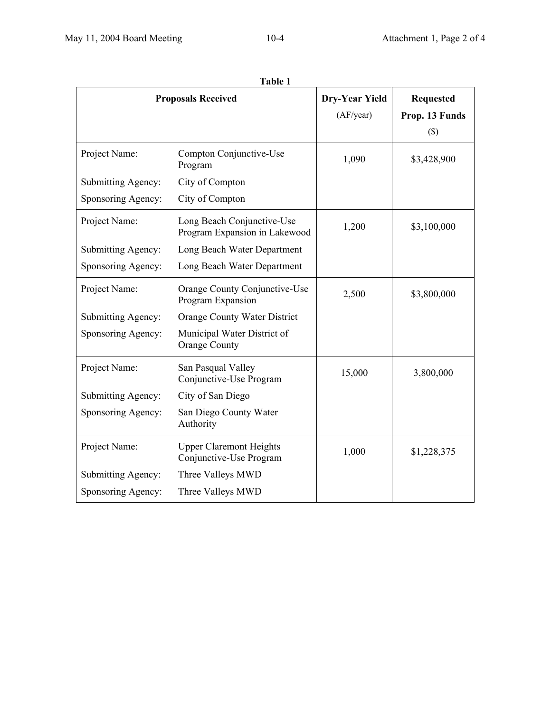| Table 1                   |                                                             |                       |                  |  |  |  |
|---------------------------|-------------------------------------------------------------|-----------------------|------------------|--|--|--|
| <b>Proposals Received</b> |                                                             | <b>Dry-Year Yield</b> | <b>Requested</b> |  |  |  |
|                           |                                                             | (AF/year)             | Prop. 13 Funds   |  |  |  |
|                           |                                                             |                       | $(\$\)$          |  |  |  |
| Project Name:             | Compton Conjunctive-Use<br>Program                          | 1,090                 | \$3,428,900      |  |  |  |
| Submitting Agency:        | City of Compton                                             |                       |                  |  |  |  |
| Sponsoring Agency:        | City of Compton                                             |                       |                  |  |  |  |
| Project Name:             | Long Beach Conjunctive-Use<br>Program Expansion in Lakewood | 1,200                 | \$3,100,000      |  |  |  |
| Submitting Agency:        | Long Beach Water Department                                 |                       |                  |  |  |  |
| Sponsoring Agency:        | Long Beach Water Department                                 |                       |                  |  |  |  |
| Project Name:             | Orange County Conjunctive-Use<br>Program Expansion          | 2,500                 | \$3,800,000      |  |  |  |
| Submitting Agency:        | Orange County Water District                                |                       |                  |  |  |  |
| Sponsoring Agency:        | Municipal Water District of<br><b>Orange County</b>         |                       |                  |  |  |  |
| Project Name:             | San Pasqual Valley<br>Conjunctive-Use Program               | 15,000                | 3,800,000        |  |  |  |
| Submitting Agency:        | City of San Diego                                           |                       |                  |  |  |  |
| Sponsoring Agency:        | San Diego County Water<br>Authority                         |                       |                  |  |  |  |
| Project Name:             | <b>Upper Claremont Heights</b><br>Conjunctive-Use Program   | 1,000                 | \$1,228,375      |  |  |  |
| Submitting Agency:        | Three Valleys MWD                                           |                       |                  |  |  |  |
| Sponsoring Agency:        | Three Valleys MWD                                           |                       |                  |  |  |  |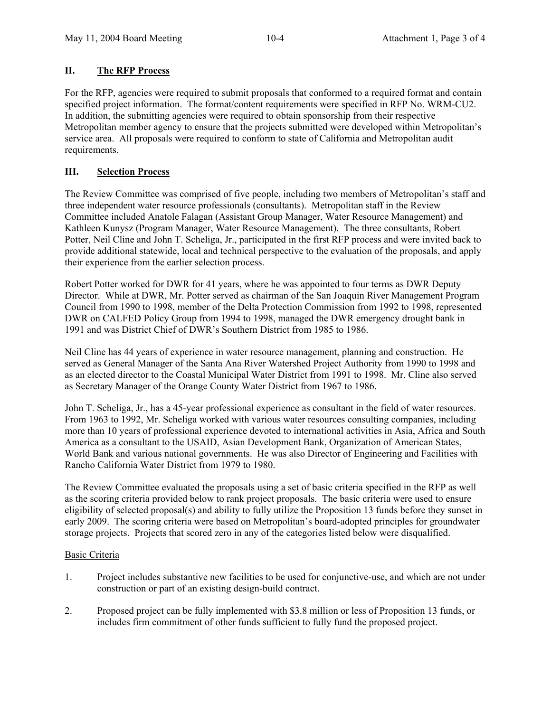### **II. The RFP Process**

For the RFP, agencies were required to submit proposals that conformed to a required format and contain specified project information. The format/content requirements were specified in RFP No. WRM-CU2. In addition, the submitting agencies were required to obtain sponsorship from their respective Metropolitan member agency to ensure that the projects submitted were developed within Metropolitan's service area. All proposals were required to conform to state of California and Metropolitan audit requirements.

### **III. Selection Process**

The Review Committee was comprised of five people, including two members of Metropolitan's staff and three independent water resource professionals (consultants). Metropolitan staff in the Review Committee included Anatole Falagan (Assistant Group Manager, Water Resource Management) and Kathleen Kunysz (Program Manager, Water Resource Management). The three consultants, Robert Potter, Neil Cline and John T. Scheliga, Jr., participated in the first RFP process and were invited back to provide additional statewide, local and technical perspective to the evaluation of the proposals, and apply their experience from the earlier selection process.

Robert Potter worked for DWR for 41 years, where he was appointed to four terms as DWR Deputy Director. While at DWR, Mr. Potter served as chairman of the San Joaquin River Management Program Council from 1990 to 1998, member of the Delta Protection Commission from 1992 to 1998, represented DWR on CALFED Policy Group from 1994 to 1998, managed the DWR emergency drought bank in 1991 and was District Chief of DWR's Southern District from 1985 to 1986.

Neil Cline has 44 years of experience in water resource management, planning and construction. He served as General Manager of the Santa Ana River Watershed Project Authority from 1990 to 1998 and as an elected director to the Coastal Municipal Water District from 1991 to 1998. Mr. Cline also served as Secretary Manager of the Orange County Water District from 1967 to 1986.

John T. Scheliga, Jr., has a 45-year professional experience as consultant in the field of water resources. From 1963 to 1992, Mr. Scheliga worked with various water resources consulting companies, including more than 10 years of professional experience devoted to international activities in Asia, Africa and South America as a consultant to the USAID, Asian Development Bank, Organization of American States, World Bank and various national governments. He was also Director of Engineering and Facilities with Rancho California Water District from 1979 to 1980.

The Review Committee evaluated the proposals using a set of basic criteria specified in the RFP as well as the scoring criteria provided below to rank project proposals. The basic criteria were used to ensure eligibility of selected proposal(s) and ability to fully utilize the Proposition 13 funds before they sunset in early 2009. The scoring criteria were based on Metropolitan's board-adopted principles for groundwater storage projects. Projects that scored zero in any of the categories listed below were disqualified.

#### Basic Criteria

- 1. Project includes substantive new facilities to be used for conjunctive-use, and which are not under construction or part of an existing design-build contract.
- 2. Proposed project can be fully implemented with \$3.8 million or less of Proposition 13 funds, or includes firm commitment of other funds sufficient to fully fund the proposed project.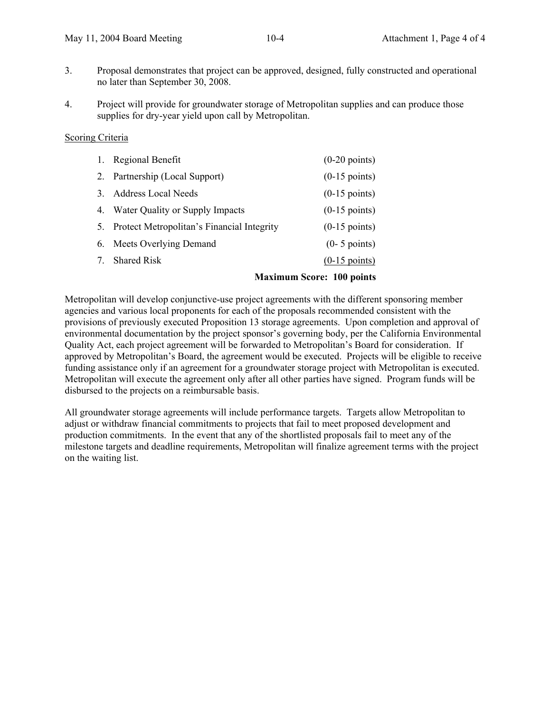- 3. Proposal demonstrates that project can be approved, designed, fully constructed and operational no later than September 30, 2008.
- 4. Project will provide for groundwater storage of Metropolitan supplies and can produce those supplies for dry-year yield upon call by Metropolitan.

#### Scoring Criteria

| 1. | <b>Regional Benefit</b>                       | $(0-20 \text{ points})$ |
|----|-----------------------------------------------|-------------------------|
| 2. | Partnership (Local Support)                   | $(0-15 \text{ points})$ |
|    | 3. Address Local Needs                        | $(0-15 \text{ points})$ |
|    | 4. Water Quality or Supply Impacts            | $(0-15 \text{ points})$ |
|    | 5. Protect Metropolitan's Financial Integrity | $(0-15 \text{ points})$ |
|    | 6. Meets Overlying Demand                     | $(0-5$ points)          |
| 7. | <b>Shared Risk</b>                            | $(0-15 \text{ points})$ |
|    |                                               |                         |

#### **Maximum Score: 100 points**

Metropolitan will develop conjunctive-use project agreements with the different sponsoring member agencies and various local proponents for each of the proposals recommended consistent with the provisions of previously executed Proposition 13 storage agreements. Upon completion and approval of environmental documentation by the project sponsor's governing body, per the California Environmental Quality Act, each project agreement will be forwarded to Metropolitan's Board for consideration. If approved by Metropolitan's Board, the agreement would be executed. Projects will be eligible to receive funding assistance only if an agreement for a groundwater storage project with Metropolitan is executed. Metropolitan will execute the agreement only after all other parties have signed. Program funds will be disbursed to the projects on a reimbursable basis.

All groundwater storage agreements will include performance targets. Targets allow Metropolitan to adjust or withdraw financial commitments to projects that fail to meet proposed development and production commitments. In the event that any of the shortlisted proposals fail to meet any of the milestone targets and deadline requirements, Metropolitan will finalize agreement terms with the project on the waiting list.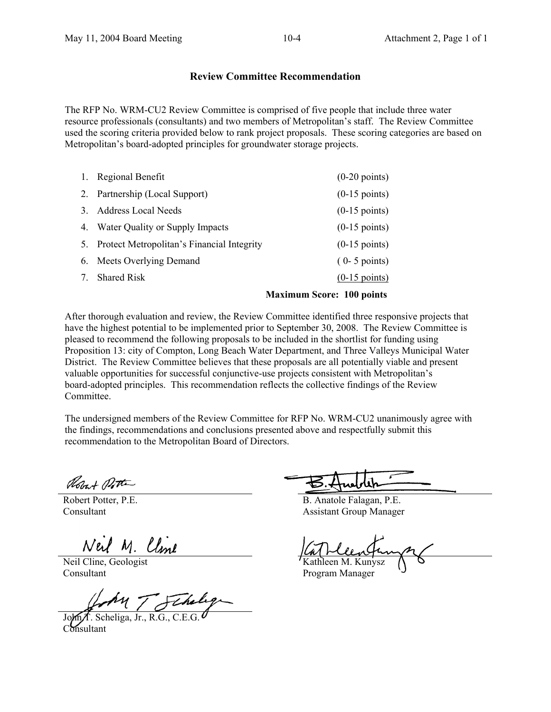# **Review Committee Recommendation**

The RFP No. WRM-CU2 Review Committee is comprised of five people that include three water resource professionals (consultants) and two members of Metropolitan's staff. The Review Committee used the scoring criteria provided below to rank project proposals. These scoring categories are based on Metropolitan's board-adopted principles for groundwater storage projects.

| 1. | Regional Benefit                           | $(0-20 \text{ points})$          |
|----|--------------------------------------------|----------------------------------|
|    | 2. Partnership (Local Support)             | $(0-15 \text{ points})$          |
| 3  | <b>Address Local Needs</b>                 | $(0-15 \text{ points})$          |
| 4. | Water Quality or Supply Impacts            | $(0-15 \text{ points})$          |
| 5. | Protect Metropolitan's Financial Integrity | $(0-15 \text{ points})$          |
|    | 6. Meets Overlying Demand                  | $(0-5$ points)                   |
| 7  | <b>Shared Risk</b>                         | $(0-15 \text{ points})$          |
|    |                                            | <b>Maximum Score: 100 points</b> |

After thorough evaluation and review, the Review Committee identified three responsive projects that have the highest potential to be implemented prior to September 30, 2008. The Review Committee is pleased to recommend the following proposals to be included in the shortlist for funding using Proposition 13: city of Compton, Long Beach Water Department, and Three Valleys Municipal Water District. The Review Committee believes that these proposals are all potentially viable and present valuable opportunities for successful conjunctive-use projects consistent with Metropolitan's board-adopted principles. This recommendation reflects the collective findings of the Review Committee.

The undersigned members of the Review Committee for RFP No. WRM-CU2 unanimously agree with the findings, recommendations and conclusions presented above and respectfully submit this recommendation to the Metropolitan Board of Directors.

Robert Potter

Robert Potter, P.E. Consultant

Neil Cline, Geologist Consultant

f. Scheliga, Jr., R.G., C.E.G. Consultant

 B. Anatole Falagan, P.E. Assistant Group Manager

Kathleen M. Kunysz

Program Manager